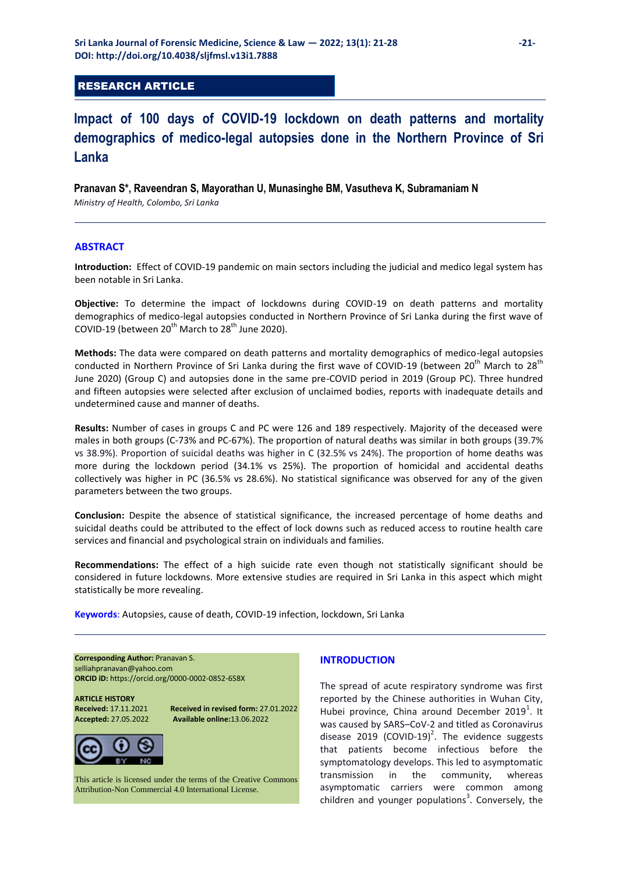## RESEARCH ARTICLE

# **Impact of 100 days of COVID-19 lockdown on death patterns and mortality demographics of medico-legal autopsies done in the Northern Province of Sri Lanka**

## **Pranavan S\*, Raveendran S, Mayorathan U, Munasinghe BM, Vasutheva K, Subramaniam N**

*Ministry of Health, Colombo, Sri Lanka*

## **ABSTRACT**

**Introduction:** Effect of COVID-19 pandemic on main sectors including the judicial and medico legal system has been notable in Sri Lanka.

**Objective:** To determine the impact of lockdowns during COVID-19 on death patterns and mortality demographics of medico-legal autopsies conducted in Northern Province of Sri Lanka during the first wave of COVID-19 (between  $20^{th}$  March to  $28^{th}$  June 2020).

**Methods:** The data were compared on death patterns and mortality demographics of medico-legal autopsies conducted in Northern Province of Sri Lanka during the first wave of COVID-19 (between 20<sup>th</sup> March to 28<sup>th</sup> June 2020) (Group C) and autopsies done in the same pre-COVID period in 2019 (Group PC). Three hundred and fifteen autopsies were selected after exclusion of unclaimed bodies, reports with inadequate details and undetermined cause and manner of deaths.

**Results:** Number of cases in groups C and PC were 126 and 189 respectively. Majority of the deceased were males in both groups (C-73% and PC-67%). The proportion of natural deaths was similar in both groups (39.7% vs 38.9%). Proportion of suicidal deaths was higher in C (32.5% vs 24%). The proportion of home deaths was more during the lockdown period (34.1% vs 25%). The proportion of homicidal and accidental deaths collectively was higher in PC (36.5% vs 28.6%). No statistical significance was observed for any of the given parameters between the two groups.

**Conclusion:** Despite the absence of statistical significance, the increased percentage of home deaths and suicidal deaths could be attributed to the effect of lock downs such as reduced access to routine health care services and financial and psychological strain on individuals and families.

**Recommendations:** The effect of a high suicide rate even though not statistically significant should be considered in future lockdowns. More extensive studies are required in Sri Lanka in this aspect which might statistically be more revealing.

**Keywords**: Autopsies, cause of death, COVID-19 infection, lockdown, Sri Lanka

**Corresponding Author: Pranavan S.** [selliahpranavan@yahoo.com](mailto:selliahpranavan@yahoo.com) **ORCID iD:** <https://orcid.org/0000-0002-0852-658X>

**ARTICLE HISTORY** 

**Received: 17.11.2021 Received in revised form: 27.01.2022<br><b>Accepted: 27.05.2022** Available online:13.06.2022 **Accepted:** 27.05.2022 **Available online:**13.06.2022



This article is licensed under the terms of the Creative Commons Attribution-Non Commercial 4.0 International License.

## **INTRODUCTION**

The spread of acute respiratory syndrome was first reported by the Chinese authorities in Wuhan City, Hubei province, China around December 2019<sup>1</sup>. It was caused by SARS–CoV-2 and titled as Coronavirus disease 2019 (COVID-19)<sup>2</sup>. The evidence suggests that patients become infectious before the symptomatology develops. This led to asymptomatic transmission in the community, whereas asymptomatic carriers were common among children and younger populations<sup>3</sup>. Conversely, the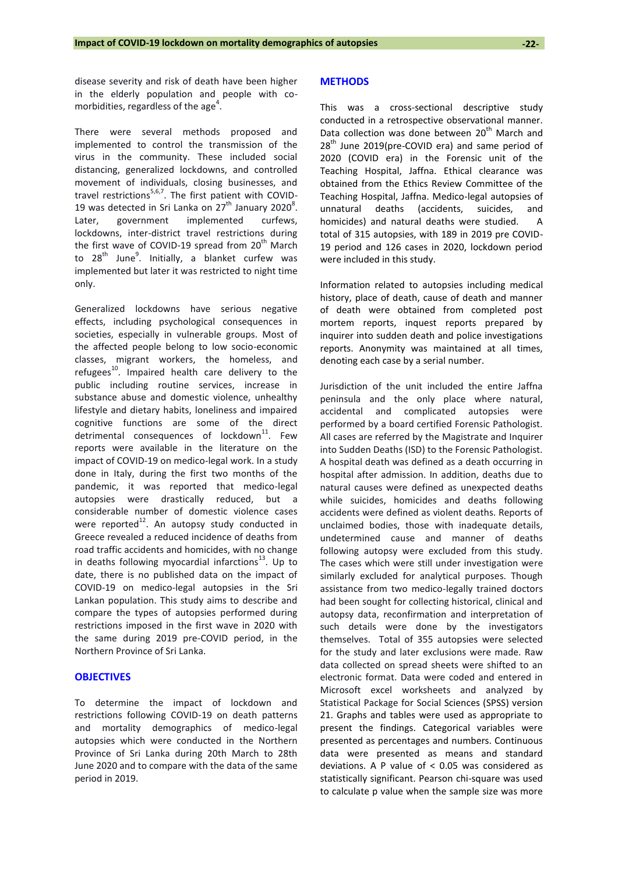disease severity and risk of death have been higher in the elderly population and people with comorbidities, regardless of the age<sup>4</sup>.

There were several methods proposed and implemented to control the transmission of the virus in the community. These included social distancing, generalized lockdowns, and controlled movement of individuals, closing businesses, and travel restrictions<sup>5,6,7</sup>. The first patient with COVID-19 was detected in Sri Lanka on  $27<sup>th</sup>$  January 2020<sup>8</sup>. Later, government implemented curfews, lockdowns, inter-district travel restrictions during the first wave of COVID-19 spread from  $20<sup>th</sup>$  March to 28<sup>th</sup> June<sup>9</sup>. Initially, a blanket curfew was implemented but later it was restricted to night time only.

Generalized lockdowns have serious negative effects, including psychological consequences in societies, especially in vulnerable groups. Most of the affected people belong to low socio-economic classes, migrant workers, the homeless, and refugees $^{10}$ . Impaired health care delivery to the public including routine services, increase in substance abuse and domestic violence, unhealthy lifestyle and dietary habits, loneliness and impaired cognitive functions are some of the direct detrimental consequences of lockdown $^{11}$ . Few reports were available in the literature on the impact of COVID-19 on medico-legal work. In a study done in Italy, during the first two months of the pandemic, it was reported that medico-legal autopsies were drastically reduced, but a considerable number of domestic violence cases were reported $^{12}$ . An autopsy study conducted in Greece revealed a reduced incidence of deaths from road traffic accidents and homicides, with no change in deaths following myocardial infarctions<sup>13</sup>. Up to date, there is no published data on the impact of COVID-19 on medico-legal autopsies in the Sri Lankan population. This study aims to describe and compare the types of autopsies performed during restrictions imposed in the first wave in 2020 with the same during 2019 pre-COVID period, in the Northern Province of Sri Lanka.

#### **OBJECTIVES**

To determine the impact of lockdown and restrictions following COVID-19 on death patterns and mortality demographics of medico-legal autopsies which were conducted in the Northern Province of Sri Lanka during 20th March to 28th June 2020 and to compare with the data of the same period in 2019.

#### **METHODS**

This was a cross-sectional descriptive study conducted in a retrospective observational manner. Data collection was done between 20<sup>th</sup> March and  $28<sup>th</sup>$  June 2019(pre-COVID era) and same period of 2020 (COVID era) in the Forensic unit of the Teaching Hospital, Jaffna. Ethical clearance was obtained from the Ethics Review Committee of the Teaching Hospital, Jaffna. Medico-legal autopsies of unnatural deaths (accidents, suicides, and homicides) and natural deaths were studied. A total of 315 autopsies, with 189 in 2019 pre COVID-19 period and 126 cases in 2020, lockdown period were included in this study.

Information related to autopsies including medical history, place of death, cause of death and manner of death were obtained from completed post mortem reports, inquest reports prepared by inquirer into sudden death and police investigations reports. Anonymity was maintained at all times, denoting each case by a serial number.

Jurisdiction of the unit included the entire Jaffna peninsula and the only place where natural, accidental and complicated autopsies were performed by a board certified Forensic Pathologist. All cases are referred by the Magistrate and Inquirer into Sudden Deaths (ISD) to the Forensic Pathologist. A hospital death was defined as a death occurring in hospital after admission. In addition, deaths due to natural causes were defined as unexpected deaths while suicides, homicides and deaths following accidents were defined as violent deaths. Reports of unclaimed bodies, those with inadequate details, undetermined cause and manner of deaths following autopsy were excluded from this study. The cases which were still under investigation were similarly excluded for analytical purposes. Though assistance from two medico-legally trained doctors had been sought for collecting historical, clinical and autopsy data, reconfirmation and interpretation of such details were done by the investigators themselves. Total of 355 autopsies were selected for the study and later exclusions were made. Raw data collected on spread sheets were shifted to an electronic format. Data were coded and entered in Microsoft excel worksheets and analyzed by Statistical Package for Social Sciences (SPSS) version 21. Graphs and tables were used as appropriate to present the findings. Categorical variables were presented as percentages and numbers. Continuous data were presented as means and standard deviations. A P value of < 0.05 was considered as statistically significant. Pearson chi-square was used to calculate p value when the sample size was more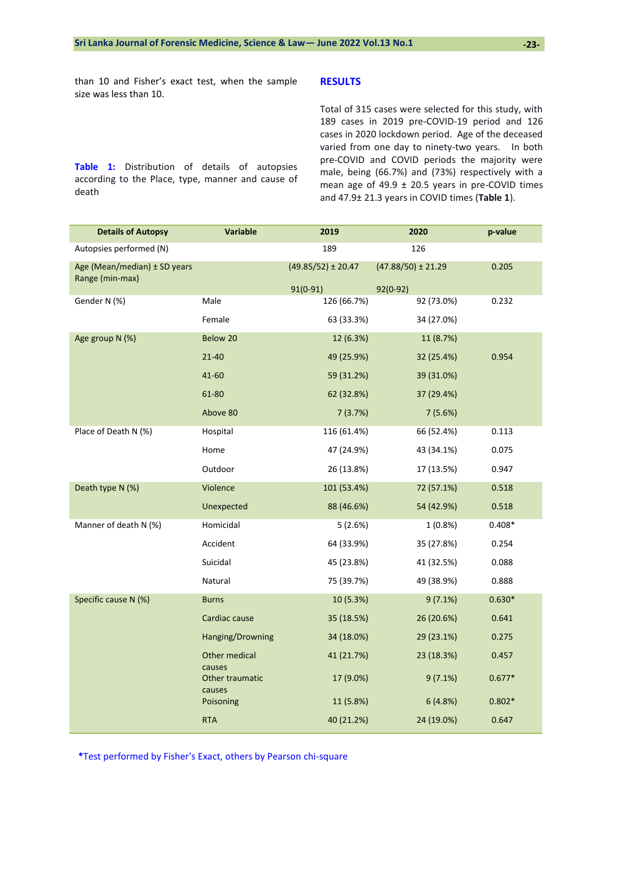than 10 and Fisher's exact test, when the sample size was less than 10.

**Table 1:** Distribution of details of autopsies according to the Place, type, manner and cause of death

## **RESULTS**

Total of 315 cases were selected for this study, with 189 cases in 2019 pre-COVID-19 period and 126 cases in 2020 lockdown period. Age of the deceased varied from one day to ninety-two years. In both pre-COVID and COVID periods the majority were male, being (66.7%) and (73%) respectively with a mean age of 49.9  $\pm$  20.5 years in pre-COVID times and 47.9± 21.3 years in COVID times (**Table 1**).

| <b>Details of Autopsy</b>                       | <b>Variable</b>                     | 2019                                 | 2020                                 | p-value  |
|-------------------------------------------------|-------------------------------------|--------------------------------------|--------------------------------------|----------|
| Autopsies performed (N)                         |                                     | 189                                  | 126                                  |          |
| Age (Mean/median) ± SD years<br>Range (min-max) |                                     | $(49.85/52) \pm 20.47$<br>$91(0-91)$ | $(47.88/50) \pm 21.29$<br>$92(0-92)$ | 0.205    |
| Gender N (%)                                    | Male                                | 126 (66.7%)                          | 92 (73.0%)                           | 0.232    |
|                                                 | Female                              | 63 (33.3%)                           | 34 (27.0%)                           |          |
| Age group N (%)                                 | Below 20                            | 12 (6.3%)                            | 11 (8.7%)                            |          |
|                                                 | $21 - 40$                           | 49 (25.9%)                           | 32 (25.4%)                           | 0.954    |
|                                                 | 41-60                               | 59 (31.2%)                           | 39 (31.0%)                           |          |
|                                                 | 61-80                               | 62 (32.8%)                           | 37 (29.4%)                           |          |
|                                                 | Above 80                            | 7(3.7%)                              | 7(5.6%)                              |          |
| Place of Death N (%)                            | Hospital                            | 116 (61.4%)                          | 66 (52.4%)                           | 0.113    |
|                                                 | Home                                | 47 (24.9%)                           | 43 (34.1%)                           | 0.075    |
|                                                 | Outdoor                             | 26 (13.8%)                           | 17 (13.5%)                           | 0.947    |
| Death type N (%)                                | Violence                            | 101 (53.4%)                          | 72 (57.1%)                           | 0.518    |
|                                                 | Unexpected                          | 88 (46.6%)                           | 54 (42.9%)                           | 0.518    |
| Manner of death N (%)                           | Homicidal                           | 5(2.6%)                              | $1(0.8\%)$                           | $0.408*$ |
|                                                 | Accident                            | 64 (33.9%)                           | 35 (27.8%)                           | 0.254    |
|                                                 | Suicidal                            | 45 (23.8%)                           | 41 (32.5%)                           | 0.088    |
|                                                 | Natural                             | 75 (39.7%)                           | 49 (38.9%)                           | 0.888    |
| Specific cause N (%)                            | <b>Burns</b>                        | 10 (5.3%)                            | 9(7.1%)                              | $0.630*$ |
|                                                 | Cardiac cause                       | 35 (18.5%)                           | 26 (20.6%)                           | 0.641    |
|                                                 | Hanging/Drowning                    | 34 (18.0%)                           | 29 (23.1%)                           | 0.275    |
|                                                 | Other medical                       | 41 (21.7%)                           | 23 (18.3%)                           | 0.457    |
|                                                 | causes<br>Other traumatic<br>causes | 17 (9.0%)                            | 9(7.1%)                              | $0.677*$ |
|                                                 | Poisoning                           | 11 (5.8%)                            | 6(4.8%)                              | $0.802*$ |
|                                                 | <b>RTA</b>                          | 40 (21.2%)                           | 24 (19.0%)                           | 0.647    |

**\***Test performed by Fisher's Exact, others by Pearson chi-square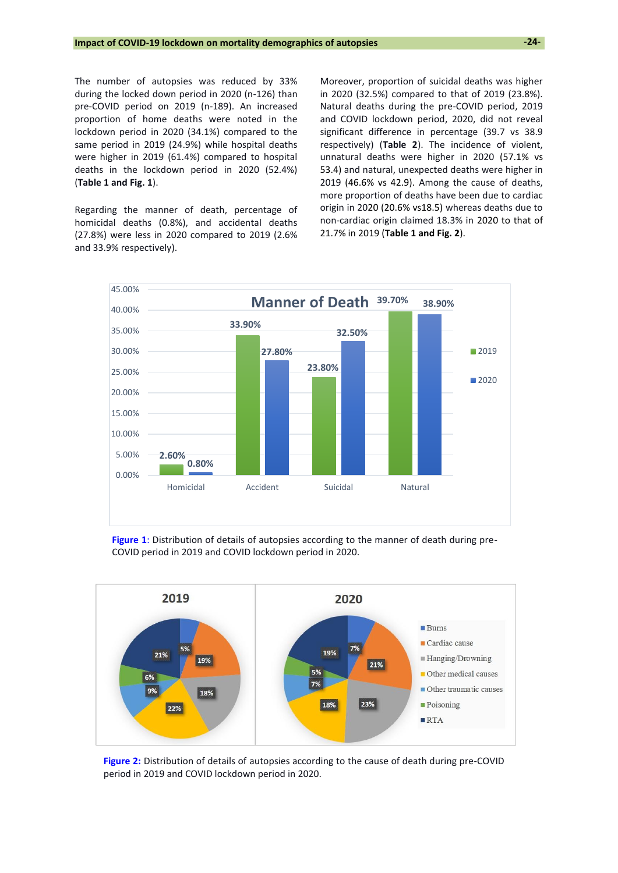The number of autopsies was reduced by 33% during the locked down period in 2020 (n-126) than pre-COVID period on 2019 (n-189). An increased proportion of home deaths were noted in the lockdown period in 2020 (34.1%) compared to the same period in 2019 (24.9%) while hospital deaths were higher in 2019 (61.4%) compared to hospital deaths in the lockdown period in 2020 (52.4%) (**Table 1 and Fig. 1**).

Regarding the manner of death, percentage of homicidal deaths (0.8%), and accidental deaths (27.8%) were less in 2020 compared to 2019 (2.6% and 33.9% respectively).

Moreover, proportion of suicidal deaths was higher in 2020 (32.5%) compared to that of 2019 (23.8%). Natural deaths during the pre-COVID period, 2019 and COVID lockdown period, 2020, did not reveal significant difference in percentage (39.7 vs 38.9 respectively) (**Table 2**). The incidence of violent, unnatural deaths were higher in 2020 (57.1% vs 53.4) and natural, unexpected deaths were higher in 2019 (46.6% vs 42.9). Among the cause of deaths, more proportion of deaths have been due to cardiac origin in 2020 (20.6% vs18.5) whereas deaths due to non-cardiac origin claimed 18.3% in 2020 to that of 21.7% in 2019 (**Table 1 and Fig. 2**).



**Figure 1**: Distribution of details of autopsies according to the manner of death during pre-COVID period in 2019 and COVID lockdown period in 2020.



**Figure 2:** Distribution of details of autopsies according to the cause of death during pre-COVID period in 2019 and COVID lockdown period in 2020.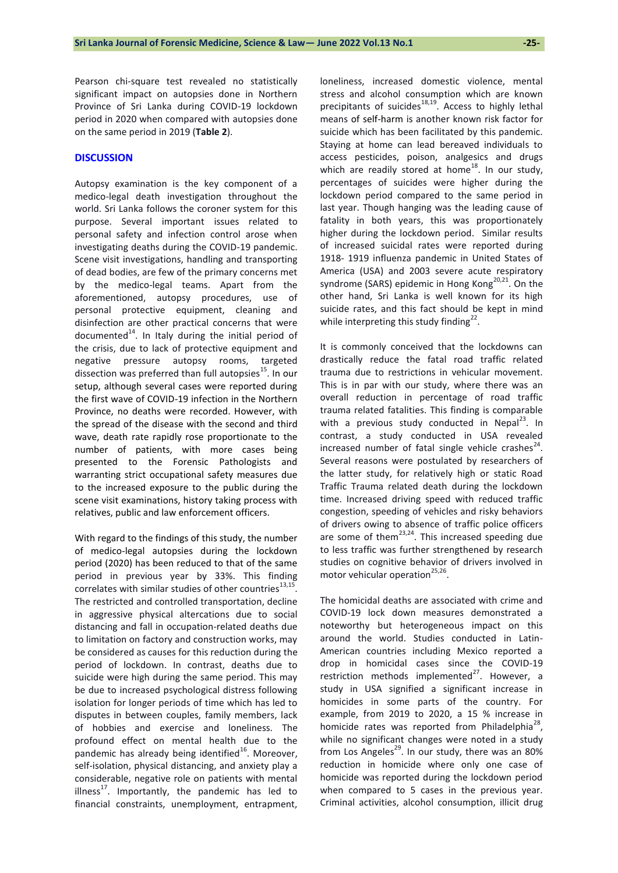**-25-**

Pearson chi-square test revealed no statistically significant impact on autopsies done in Northern Province of Sri Lanka during COVID-19 lockdown period in 2020 when compared with autopsies done on the same period in 2019 (**Table 2**).

## **DISCUSSION**

Autopsy examination is the key component of a medico-legal death investigation throughout the world. Sri Lanka follows the coroner system for this purpose. Several important issues related to personal safety and infection control arose when investigating deaths during the COVID-19 pandemic. Scene visit investigations, handling and transporting of dead bodies, are few of the primary concerns met by the medico-legal teams. Apart from the aforementioned, autopsy procedures, use of personal protective equipment, cleaning and disinfection are other practical concerns that were documented $14$ . In Italy during the initial period of the crisis, due to lack of protective equipment and negative pressure autopsy rooms, targeted dissection was preferred than full autopsies<sup>15</sup>. In our setup, although several cases were reported during the first wave of COVID-19 infection in the Northern Province, no deaths were recorded. However, with the spread of the disease with the second and third wave, death rate rapidly rose proportionate to the number of patients, with more cases being presented to the Forensic Pathologists and warranting strict occupational safety measures due to the increased exposure to the public during the scene visit examinations, history taking process with relatives, public and law enforcement officers.

With regard to the findings of this study, the number of medico-legal autopsies during the lockdown period (2020) has been reduced to that of the same period in previous year by 33%. This finding correlates with similar studies of other countries $^{13,15}$ . The restricted and controlled transportation, decline in aggressive physical altercations due to social distancing and fall in occupation-related deaths due to limitation on factory and construction works, may be considered as causes for this reduction during the period of lockdown. In contrast, deaths due to suicide were high during the same period. This may be due to increased psychological distress following isolation for longer periods of time which has led to disputes in between couples, family members, lack of hobbies and exercise and loneliness. The profound effect on mental health due to the pandemic has already being identified $^{16}$ . Moreover, self-isolation, physical distancing, and anxiety play a considerable, negative role on patients with mental illness<sup>17</sup>. Importantly, the pandemic has led to financial constraints, unemployment, entrapment,

loneliness, increased domestic violence, mental stress and alcohol consumption which are known precipitants of suicides $18,19$ . Access to highly lethal means of self-harm is another known risk factor for suicide which has been facilitated by this pandemic. Staying at home can lead bereaved individuals to access pesticides, poison, analgesics and drugs which are readily stored at home<sup>18</sup>. In our study, percentages of suicides were higher during the lockdown period compared to the same period in last year. Though hanging was the leading cause of fatality in both years, this was proportionately higher during the lockdown period. Similar results of increased suicidal rates were reported during 1918- 1919 influenza pandemic in United States of America (USA) and 2003 severe acute respiratory syndrome (SARS) epidemic in Hong Kong $^{20,21}$ . On the other hand, Sri Lanka is well known for its high suicide rates, and this fact should be kept in mind while interpreting this study finding $^{22}$ .

It is commonly conceived that the lockdowns can drastically reduce the fatal road traffic related trauma due to restrictions in vehicular movement. This is in par with our study, where there was an overall reduction in percentage of road traffic trauma related fatalities. This finding is comparable with a previous study conducted in Nepal<sup>23</sup>. In contrast, a study conducted in USA revealed increased number of fatal single vehicle crashes $^{24}$ . Several reasons were postulated by researchers of the latter study, for relatively high or static Road Traffic Trauma related death during the lockdown time. Increased driving speed with reduced traffic congestion, speeding of vehicles and risky behaviors of drivers owing to absence of traffic police officers are some of them $^{23,24}$ . This increased speeding due to less traffic was further strengthened by research studies on cognitive behavior of drivers involved in motor vehicular operation $^{25,26}$ .

The homicidal deaths are associated with crime and COVID-19 lock down measures demonstrated a noteworthy but heterogeneous impact on this around the world. Studies conducted in Latin-American countries including Mexico reported a drop in homicidal cases since the COVID-19 restriction methods implemented $^{27}$ . However, a study in USA signified a significant increase in homicides in some parts of the country. For example, from 2019 to 2020, a 15 % increase in homicide rates was reported from Philadelphia<sup>28</sup>, while no significant changes were noted in a study from Los Angeles<sup>29</sup>. In our study, there was an 80% reduction in homicide where only one case of homicide was reported during the lockdown period when compared to 5 cases in the previous year. Criminal activities, alcohol consumption, illicit drug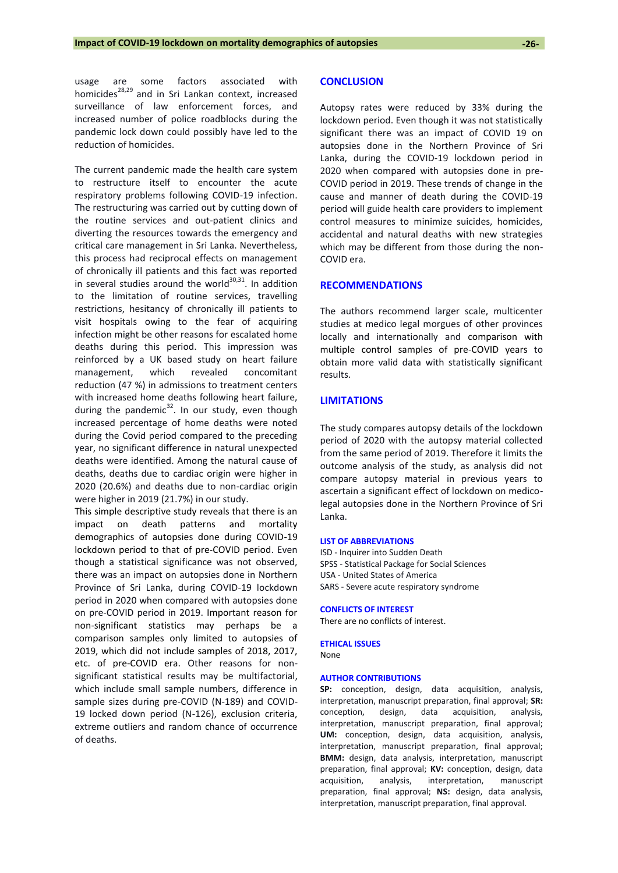usage are some factors associated with homicides<sup>28,29</sup> and in Sri Lankan context, increased surveillance of law enforcement forces, and increased number of police roadblocks during the pandemic lock down could possibly have led to the reduction of homicides.

The current pandemic made the health care system to restructure itself to encounter the acute respiratory problems following COVID-19 infection. The restructuring was carried out by cutting down of the routine services and out-patient clinics and diverting the resources towards the emergency and critical care management in Sri Lanka. Nevertheless, this process had reciprocal effects on management of chronically ill patients and this fact was reported in several studies around the world<sup>30,31</sup>. In addition to the limitation of routine services, travelling restrictions, hesitancy of chronically ill patients to visit hospitals owing to the fear of acquiring infection might be other reasons for escalated home deaths during this period. This impression was reinforced by a UK based study on heart failure management, which revealed concomitant reduction (47 %) in admissions to treatment centers with increased home deaths following heart failure, during the pandemic<sup>32</sup>. In our study, even though increased percentage of home deaths were noted during the Covid period compared to the preceding year, no significant difference in natural unexpected deaths were identified. Among the natural cause of deaths, deaths due to cardiac origin were higher in 2020 (20.6%) and deaths due to non-cardiac origin were higher in 2019 (21.7%) in our study.

This simple descriptive study reveals that there is an impact on death patterns and mortality demographics of autopsies done during COVID-19 lockdown period to that of pre-COVID period. Even though a statistical significance was not observed, there was an impact on autopsies done in Northern Province of Sri Lanka, during COVID-19 lockdown period in 2020 when compared with autopsies done on pre-COVID period in 2019. Important reason for non-significant statistics may perhaps be a comparison samples only limited to autopsies of 2019, which did not include samples of 2018, 2017, etc. of pre-COVID era. Other reasons for nonsignificant statistical results may be multifactorial, which include small sample numbers, difference in sample sizes during pre-COVID (N-189) and COVID-19 locked down period (N-126), exclusion criteria, extreme outliers and random chance of occurrence of deaths.

#### **CONCLUSION**

Autopsy rates were reduced by 33% during the lockdown period. Even though it was not statistically significant there was an impact of COVID 19 on autopsies done in the Northern Province of Sri Lanka, during the COVID-19 lockdown period in 2020 when compared with autopsies done in pre-COVID period in 2019. These trends of change in the cause and manner of death during the COVID-19 period will guide health care providers to implement control measures to minimize suicides, homicides, accidental and natural deaths with new strategies which may be different from those during the non-COVID era.

#### **RECOMMENDATIONS**

The authors recommend larger scale, multicenter studies at medico legal morgues of other provinces locally and internationally and comparison with multiple control samples of pre-COVID years to obtain more valid data with statistically significant results.

### **LIMITATIONS**

The study compares autopsy details of the lockdown period of 2020 with the autopsy material collected from the same period of 2019. Therefore it limits the outcome analysis of the study, as analysis did not compare autopsy material in previous years to ascertain a significant effect of lockdown on medicolegal autopsies done in the Northern Province of Sri Lanka.

#### **LIST OF ABBREVIATIONS**

ISD - Inquirer into Sudden Death SPSS - Statistical Package for Social Sciences USA - United States of America SARS - Severe acute respiratory syndrome

#### **CONFLICTS OF INTEREST**

There are no conflicts of interest.

#### **ETHICAL ISSUES**

None

#### **AUTHOR CONTRIBUTIONS**

**SP:** conception, design, data acquisition, analysis, interpretation, manuscript preparation, final approval; **SR:** conception, design, data acquisition, analysis, interpretation, manuscript preparation, final approval; **UM:** conception, design, data acquisition, analysis, interpretation, manuscript preparation, final approval; **BMM:** design, data analysis, interpretation, manuscript preparation, final approval; **KV:** conception, design, data acquisition, analysis, interpretation, manuscript preparation, final approval; **NS:** design, data analysis, interpretation, manuscript preparation, final approval.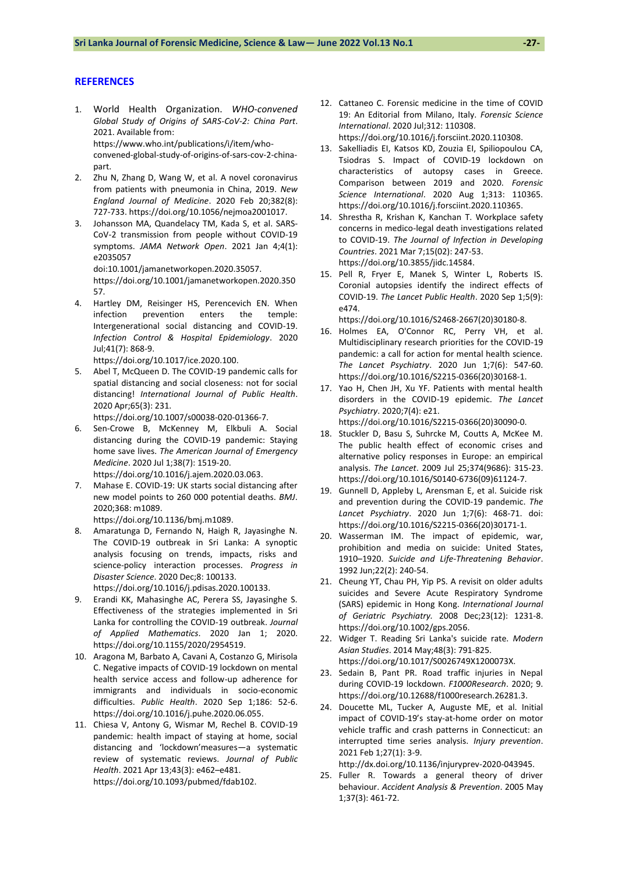#### **REFERENCES**

- 1. World Health Organization. *WHO-convened Global Study of Origins of SARS-CoV-2: China Part*. 2021. Available from: [https://www.who.int/publications/i/item/who](https://www.who.int/publications/i/item/who-convened-global-study-of-origins-of-sars-cov-2-china-part)[convened-global-study-of-origins-of-sars-cov-2-china](https://www.who.int/publications/i/item/who-convened-global-study-of-origins-of-sars-cov-2-china-part)[part.](https://www.who.int/publications/i/item/who-convened-global-study-of-origins-of-sars-cov-2-china-part)
- 2. Zhu N, Zhang D, Wang W, et al. A novel coronavirus from patients with pneumonia in China, 2019. *New England Journal of Medicine*. 2020 Feb 20;382(8): 727-733[. https://doi.org/10.1056/nejmoa2001017.](https://doi.org/10.1056/nejmoa2001017)
- 3. Johansson MA, Quandelacy TM, Kada S, et al. SARS-CoV-2 transmission from people without COVID-19 symptoms. *JAMA Network Open*. 2021 Jan 4;4(1): e2035057 doi:10.1001/jamanetworkopen.2020.35057.

[https://doi.org/10.1001/jamanetworkopen.2020.350](https://doi.org/10.1001/jamanetworkopen.2020.35057) [57.](https://doi.org/10.1001/jamanetworkopen.2020.35057)

4. Hartley DM, Reisinger HS, Perencevich EN. When infection prevention enters the temple: Intergenerational social distancing and COVID-19. *Infection Control & Hospital Epidemiology*. 2020 Jul;41(7): 868-9.

[https://doi.org/10.1017/ice.2020.100.](https://doi.org/10.1017/ice.2020.100)

5. Abel T, McQueen D. The COVID-19 pandemic calls for spatial distancing and social closeness: not for social distancing! *International Journal of Public Health*. 2020 Apr;65(3): 231.

[https://doi.org/10.1007/s00038-020-01366-7.](https://doi.org/10.1007/s00038-020-01366-7)

- 6. Sen-Crowe B, McKenney M, Elkbuli A. Social distancing during the COVID-19 pandemic: Staying home save lives. *The American Journal of Emergency Medicine*. 2020 Jul 1;38(7): 1519-20. [https://doi.org/10.1016/j.ajem.2020.03.063.](https://doi.org/10.1016/j.ajem.2020.03.063)
- 7. Mahase E. COVID-19: UK starts social distancing after new model points to 260 000 potential deaths. *BMJ*. 2020;368: m1089.

[https://doi.org/10.1136/bmj.m1089.](https://doi.org/10.1136/bmj.m1089)

- 8. Amaratunga D, Fernando N, Haigh R, Jayasinghe N. The COVID-19 outbreak in Sri Lanka: A synoptic analysis focusing on trends, impacts, risks and science-policy interaction processes. *Progress in Disaster Science*. 2020 Dec;8: 100133. [https://doi.org/10.1016/j.pdisas.2020.100133.](https://doi.org/10.1016/j.pdisas.2020.100133)
- 9. Erandi KK, Mahasinghe AC, Perera SS, Jayasinghe S. Effectiveness of the strategies implemented in Sri Lanka for controlling the COVID-19 outbreak. *Journal*
- *of Applied Mathematics*. 2020 Jan 1; 2020. [https://doi.org/10.1155/2020/2954519.](https://doi.org/10.1155/2020/2954519)  10. Aragona M, Barbato A, Cavani A, Costanzo G, Mirisola
- C. Negative impacts of COVID-19 lockdown on mental health service access and follow-up adherence for immigrants and individuals in socio-economic difficulties. *Public Health*. 2020 Sep 1;186: 52-6. [https://doi.org/10.1016/j.puhe.2020.06.055.](https://doi.org/10.1016/j.puhe.2020.06.055)
- 11. Chiesa V, Antony G, Wismar M, Rechel B. COVID-19 pandemic: health impact of staying at home, social distancing and 'lockdown'measures—a systematic review of systematic reviews. *Journal of Public Health*. 2021 Apr 13;43(3): e462–e481. [https://doi.org/10.1093/pubmed/fdab102.](https://doi.org/10.1093/pubmed/fdab102)
- 12. Cattaneo C. Forensic medicine in the time of COVID 19: An Editorial from Milano, Italy. *Forensic Science International*. 2020 Jul;312: 110308. [https://doi.org/10.1016/j.forsciint.2020.110308.](https://doi.org/10.1016/j.forsciint.2020.110308)
- 13. Sakelliadis EI, Katsos KD, Zouzia EI, Spiliopoulou CA, Tsiodras S. Impact of COVID-19 lockdown on characteristics of autopsy cases in Greece. Comparison between 2019 and 2020. *Forensic Science International*. 2020 Aug 1;313: 110365. [https://doi.org/10.1016/j.forsciint.2020.110365.](https://doi.org/10.1016/j.forsciint.2020.110365)
- 14. Shrestha R, Krishan K, Kanchan T. Workplace safety concerns in medico-legal death investigations related to COVID-19. *The Journal of Infection in Developing Countries*. 2021 Mar 7;15(02): 247-53. [https://doi.org/10.3855/jidc.14584.](https://doi.org/10.3855/jidc.14584)
- 15. Pell R, Fryer E, Manek S, Winter L, Roberts IS. Coronial autopsies identify the indirect effects of COVID-19. *The Lancet Public Health*. 2020 Sep 1;5(9): e474.

[https://doi.org/10.1016/S2468-2667\(20\)30180-8.](https://doi.org/10.1016/S2468-2667(20)30180-8) 

- 16. Holmes EA, O'Connor RC, Perry VH, et al. Multidisciplinary research priorities for the COVID-19 pandemic: a call for action for mental health science. *The Lancet Psychiatry*. 2020 Jun 1;7(6): 547-60. [https://doi.org/10.1016/S2215-0366\(20\)30168-1.](https://doi.org/10.1016/S2215-0366(20)30168-1)
- 17. Yao H, Chen JH, Xu YF. Patients with mental health disorders in the COVID-19 epidemic. *The Lancet Psychiatry*. 2020;7(4): e21.

[https://doi.org/10.1016/S2215-0366\(20\)30090-0.](https://doi.org/10.1016/S2215-0366(20)30090-0) 

- 18. Stuckler D, Basu S, Suhrcke M, Coutts A, McKee M. The public health effect of economic crises and alternative policy responses in Europe: an empirical analysis. *The Lancet*. 2009 Jul 25;374(9686): 315-23. [https://doi.org/10.1016/S0140-6736\(09\)61124-7.](https://doi.org/10.1016/S0140-6736(09)61124-7)
- 19. Gunnell D, Appleby L, Arensman E, et al. Suicide risk and prevention during the COVID-19 pandemic. *The Lancet Psychiatry*. 2020 Jun 1;7(6): 468-71. doi: [https://doi.org/10.1016/S2215-0366\(20\)30171-1.](https://doi.org/10.1016/S2215-0366(20)30171-1)
- 20. Wasserman IM. The impact of epidemic, war, prohibition and media on suicide: United States, 1910–1920. *Suicide and Life‐Threatening Behavior*. 1992 Jun;22(2): 240-54.
- 21. Cheung YT, Chau PH, Yip PS. A revisit on older adults suicides and Severe Acute Respiratory Syndrome (SARS) epidemic in Hong Kong. *International Journal of Geriatric Psychiatry.* 2008 Dec;23(12): 1231-8. [https://doi.org/10.1002/gps.2056.](https://doi.org/10.1002/gps.2056)
- 22. Widger T. Reading Sri Lanka's suicide rate. *Modern Asian Studies*. 2014 May;48(3): 791-825. [https://doi.org/10.1017/S0026749X1200073X.](https://doi.org/10.1017/S0026749X1200073X)
- 23. Sedain B, Pant PR. Road traffic injuries in Nepal during COVID-19 lockdown. *F1000Research*. 2020; 9. [https://doi.org/10.12688/f1000research.26281.3.](https://doi.org/10.12688/f1000research.26281.3)
- 24. Doucette ML, Tucker A, Auguste ME, et al. Initial impact of COVID-19's stay-at-home order on motor vehicle traffic and crash patterns in Connecticut: an interrupted time series analysis. *Injury prevention*. 2021 Feb 1;27(1): 3-9.

[http://dx.doi.org/10.1136/injuryprev-2020-043945.](http://dx.doi.org/10.1136/injuryprev-2020-043945)

25. Fuller R. Towards a general theory of driver behaviour. *Accident Analysis & Prevention*. 2005 May 1;37(3): 461-72.